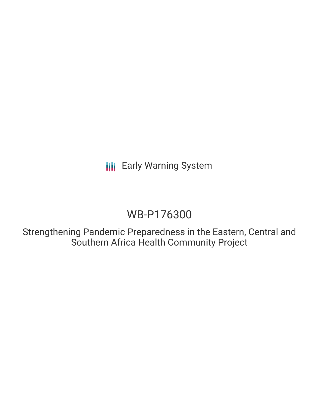**III** Early Warning System

# WB-P176300

Strengthening Pandemic Preparedness in the Eastern, Central and Southern Africa Health Community Project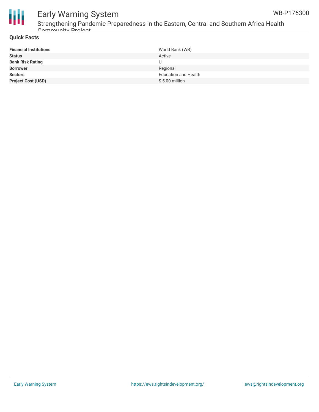

# Early Warning System Strengthening Pandemic Preparedness in the Eastern, Central and Southern Africa Health Community Project

| <b>Financial Institutions</b> | World Bank (WB)             |
|-------------------------------|-----------------------------|
| <b>Status</b>                 | Active                      |
| <b>Bank Risk Rating</b>       |                             |
| <b>Borrower</b>               | Regional                    |
| <b>Sectors</b>                | <b>Education and Health</b> |
| <b>Project Cost (USD)</b>     | $$5.00$ million             |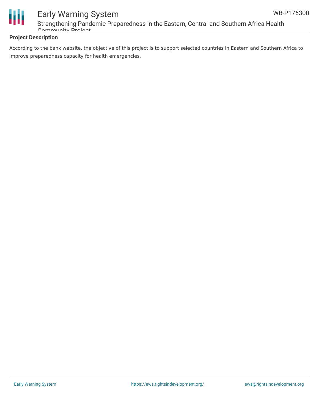

# Early Warning System Strengthening Pandemic Preparedness in the Eastern, Central and Southern Africa Health Community Project

### **Project Description**

According to the bank website, the objective of this project is to support selected countries in Eastern and Southern Africa to improve preparedness capacity for health emergencies.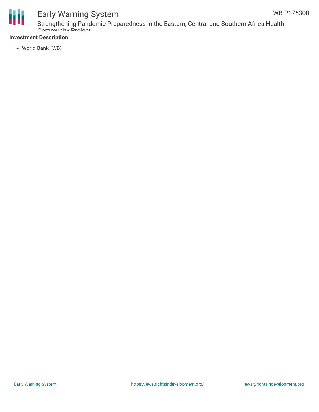



# Early Warning System

Strengthening Pandemic Preparedness in the Eastern, Central and Southern Africa Health Community Project

### **Investment Description**

World Bank (WB)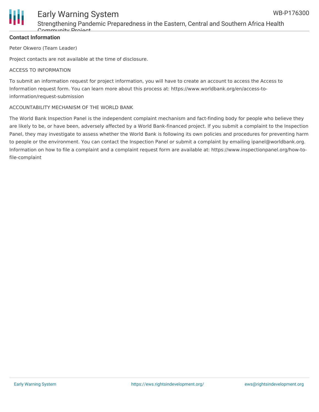

## Early Warning System Strengthening Pandemic Preparedness in the Eastern, Central and Southern Africa Health Community Project

### **Contact Information**

Peter Okwero (Team Leader)

Project contacts are not available at the time of disclosure.

#### ACCESS TO INFORMATION

To submit an information request for project information, you will have to create an account to access the Access to Information request form. You can learn more about this process at: https://www.worldbank.org/en/access-toinformation/request-submission

#### ACCOUNTABILITY MECHANISM OF THE WORLD BANK

The World Bank Inspection Panel is the independent complaint mechanism and fact-finding body for people who believe they are likely to be, or have been, adversely affected by a World Bank-financed project. If you submit a complaint to the Inspection Panel, they may investigate to assess whether the World Bank is following its own policies and procedures for preventing harm to people or the environment. You can contact the Inspection Panel or submit a complaint by emailing ipanel@worldbank.org. Information on how to file a complaint and a complaint request form are available at: https://www.inspectionpanel.org/how-tofile-complaint